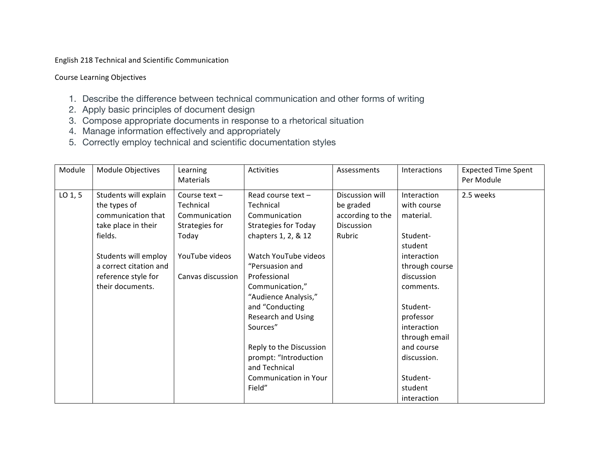English 218 Technical and Scientific Communication

Course Learning Objectives

- 1. Describe the difference between technical communication and other forms of writing
- 2. Apply basic principles of document design
- 3. Compose appropriate documents in response to a rhetorical situation
- 4. Manage information effectively and appropriately
- 5. Correctly employ technical and scientific documentation styles

| Module              | Module Objectives                                                                                                                               | Learning<br>Materials                                                                   | Activities                                                                                                                                                                                                                         | Assessments                                                              | <b>Interactions</b>                                                                                                                                 | <b>Expected Time Spent</b><br>Per Module |
|---------------------|-------------------------------------------------------------------------------------------------------------------------------------------------|-----------------------------------------------------------------------------------------|------------------------------------------------------------------------------------------------------------------------------------------------------------------------------------------------------------------------------------|--------------------------------------------------------------------------|-----------------------------------------------------------------------------------------------------------------------------------------------------|------------------------------------------|
| LO <sub>1</sub> , 5 | Students will explain<br>the types of<br>communication that<br>take place in their<br>fields.<br>Students will employ<br>a correct citation and | Course text-<br>Technical<br>Communication<br>Strategies for<br>Today<br>YouTube videos | Read course text-<br>Technical<br>Communication<br><b>Strategies for Today</b><br>chapters 1, 2, & 12<br>Watch YouTube videos<br>"Persuasion and                                                                                   | Discussion will<br>be graded<br>according to the<br>Discussion<br>Rubric | Interaction<br>with course<br>material.<br>Student-<br>student<br>interaction<br>through course                                                     | 2.5 weeks                                |
|                     | reference style for<br>their documents.                                                                                                         | Canvas discussion                                                                       | Professional<br>Communication,"<br>"Audience Analysis,"<br>and "Conducting<br><b>Research and Using</b><br>Sources"<br>Reply to the Discussion<br>prompt: "Introduction<br>and Technical<br><b>Communication in Your</b><br>Field" |                                                                          | discussion<br>comments.<br>Student-<br>professor<br>interaction<br>through email<br>and course<br>discussion.<br>Student-<br>student<br>interaction |                                          |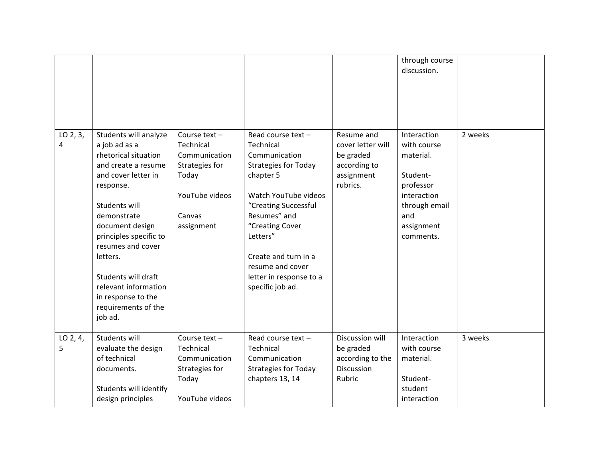|               |                                                                                                                                                                                                                                                                                                                                                |                                                                                                                 |                                                                                                                                                                                                                                                                                       |                                                                                        | through course<br>discussion.                                                                                                      |         |
|---------------|------------------------------------------------------------------------------------------------------------------------------------------------------------------------------------------------------------------------------------------------------------------------------------------------------------------------------------------------|-----------------------------------------------------------------------------------------------------------------|---------------------------------------------------------------------------------------------------------------------------------------------------------------------------------------------------------------------------------------------------------------------------------------|----------------------------------------------------------------------------------------|------------------------------------------------------------------------------------------------------------------------------------|---------|
| LO 2, 3,<br>4 | Students will analyze<br>a job ad as a<br>rhetorical situation<br>and create a resume<br>and cover letter in<br>response.<br>Students will<br>demonstrate<br>document design<br>principles specific to<br>resumes and cover<br>letters.<br>Students will draft<br>relevant information<br>in response to the<br>requirements of the<br>job ad. | Course text-<br>Technical<br>Communication<br>Strategies for<br>Today<br>YouTube videos<br>Canvas<br>assignment | Read course text-<br>Technical<br>Communication<br><b>Strategies for Today</b><br>chapter 5<br>Watch YouTube videos<br>"Creating Successful<br>Resumes" and<br>"Creating Cover<br>Letters"<br>Create and turn in a<br>resume and cover<br>letter in response to a<br>specific job ad. | Resume and<br>cover letter will<br>be graded<br>according to<br>assignment<br>rubrics. | Interaction<br>with course<br>material.<br>Student-<br>professor<br>interaction<br>through email<br>and<br>assignment<br>comments. | 2 weeks |
| LO 2, 4,<br>5 | Students will<br>evaluate the design<br>of technical<br>documents.<br>Students will identify<br>design principles                                                                                                                                                                                                                              | Course text-<br>Technical<br>Communication<br>Strategies for<br>Today<br>YouTube videos                         | Read course text-<br>Technical<br>Communication<br><b>Strategies for Today</b><br>chapters 13, 14                                                                                                                                                                                     | Discussion will<br>be graded<br>according to the<br><b>Discussion</b><br>Rubric        | Interaction<br>with course<br>material.<br>Student-<br>student<br>interaction                                                      | 3 weeks |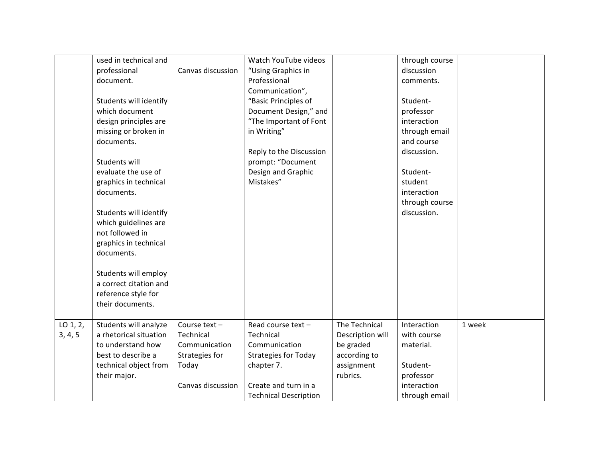|          | used in technical and  |                   | Watch YouTube videos         |                  | through course |        |
|----------|------------------------|-------------------|------------------------------|------------------|----------------|--------|
|          | professional           | Canvas discussion | "Using Graphics in           |                  | discussion     |        |
|          | document.              |                   | Professional                 |                  | comments.      |        |
|          |                        |                   | Communication",              |                  |                |        |
|          | Students will identify |                   | "Basic Principles of         |                  | Student-       |        |
|          | which document         |                   | Document Design," and        |                  | professor      |        |
|          | design principles are  |                   | "The Important of Font       |                  | interaction    |        |
|          | missing or broken in   |                   | in Writing"                  |                  | through email  |        |
|          | documents.             |                   |                              |                  | and course     |        |
|          |                        |                   | Reply to the Discussion      |                  | discussion.    |        |
|          | Students will          |                   | prompt: "Document            |                  |                |        |
|          | evaluate the use of    |                   | Design and Graphic           |                  | Student-       |        |
|          | graphics in technical  |                   | Mistakes"                    |                  | student        |        |
|          | documents.             |                   |                              |                  | interaction    |        |
|          |                        |                   |                              |                  | through course |        |
|          | Students will identify |                   |                              |                  | discussion.    |        |
|          | which guidelines are   |                   |                              |                  |                |        |
|          | not followed in        |                   |                              |                  |                |        |
|          | graphics in technical  |                   |                              |                  |                |        |
|          | documents.             |                   |                              |                  |                |        |
|          |                        |                   |                              |                  |                |        |
|          | Students will employ   |                   |                              |                  |                |        |
|          | a correct citation and |                   |                              |                  |                |        |
|          | reference style for    |                   |                              |                  |                |        |
|          | their documents.       |                   |                              |                  |                |        |
|          |                        |                   |                              |                  |                |        |
| LO 1, 2, | Students will analyze  | Course text-      | Read course text-            | The Technical    | Interaction    | 1 week |
| 3, 4, 5  | a rhetorical situation | Technical         | Technical                    | Description will | with course    |        |
|          | to understand how      | Communication     | Communication                | be graded        | material.      |        |
|          | best to describe a     | Strategies for    | <b>Strategies for Today</b>  | according to     |                |        |
|          | technical object from  | Today             | chapter 7.                   | assignment       | Student-       |        |
|          | their major.           |                   |                              | rubrics.         | professor      |        |
|          |                        | Canvas discussion | Create and turn in a         |                  | interaction    |        |
|          |                        |                   | <b>Technical Description</b> |                  | through email  |        |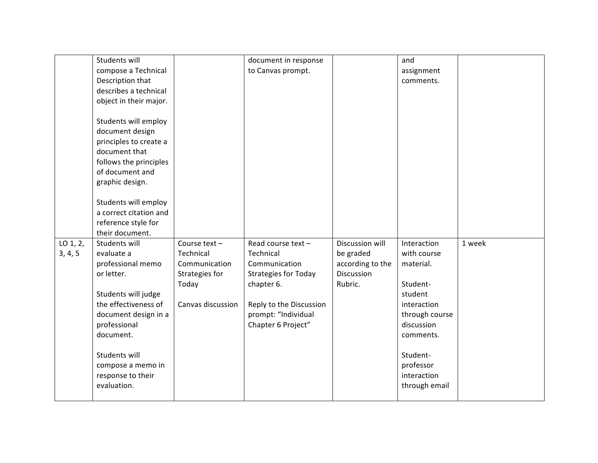|          | Students will                                  |                   | document in response        |                  | and            |        |
|----------|------------------------------------------------|-------------------|-----------------------------|------------------|----------------|--------|
|          | compose a Technical                            |                   | to Canvas prompt.           |                  | assignment     |        |
|          | Description that                               |                   |                             |                  | comments.      |        |
|          | describes a technical                          |                   |                             |                  |                |        |
|          | object in their major.                         |                   |                             |                  |                |        |
|          |                                                |                   |                             |                  |                |        |
|          | Students will employ                           |                   |                             |                  |                |        |
|          | document design                                |                   |                             |                  |                |        |
|          | principles to create a                         |                   |                             |                  |                |        |
|          | document that                                  |                   |                             |                  |                |        |
|          | follows the principles                         |                   |                             |                  |                |        |
|          | of document and                                |                   |                             |                  |                |        |
|          | graphic design.                                |                   |                             |                  |                |        |
|          |                                                |                   |                             |                  |                |        |
|          | Students will employ<br>a correct citation and |                   |                             |                  |                |        |
|          | reference style for                            |                   |                             |                  |                |        |
|          | their document.                                |                   |                             |                  |                |        |
| LO 1, 2, | Students will                                  | Course text-      | Read course text-           | Discussion will  | Interaction    | 1 week |
| 3, 4, 5  | evaluate a                                     | Technical         | Technical                   | be graded        | with course    |        |
|          | professional memo                              | Communication     | Communication               | according to the | material.      |        |
|          | or letter.                                     | Strategies for    | <b>Strategies for Today</b> | Discussion       |                |        |
|          |                                                | Today             | chapter 6.                  | Rubric.          | Student-       |        |
|          | Students will judge                            |                   |                             |                  | student        |        |
|          | the effectiveness of                           | Canvas discussion | Reply to the Discussion     |                  | interaction    |        |
|          | document design in a                           |                   | prompt: "Individual         |                  | through course |        |
|          | professional                                   |                   | Chapter 6 Project"          |                  | discussion     |        |
|          | document.                                      |                   |                             |                  | comments.      |        |
|          |                                                |                   |                             |                  |                |        |
|          | Students will                                  |                   |                             |                  | Student-       |        |
|          | compose a memo in                              |                   |                             |                  | professor      |        |
|          | response to their                              |                   |                             |                  | interaction    |        |
|          | evaluation.                                    |                   |                             |                  | through email  |        |
|          |                                                |                   |                             |                  |                |        |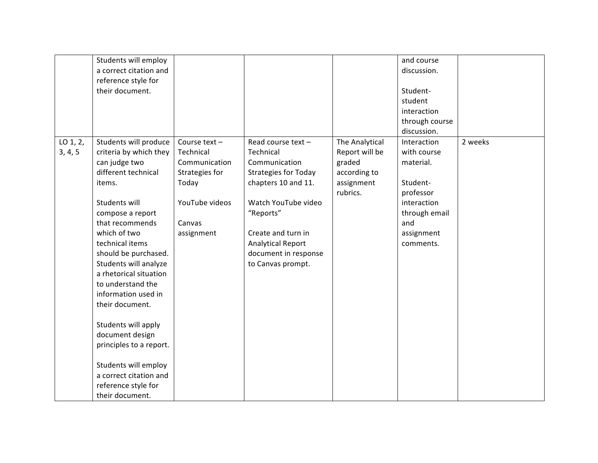|                     | Students will employ<br>a correct citation and<br>reference style for<br>their document.                                                                                                                                                                                                                                                                                                                                                                                                                |                                                                                                                 |                                                                                                                                                                                                                                          |                                                                                      | and course<br>discussion.<br>Student-<br>student<br>interaction<br>through course<br>discussion.                                   |         |
|---------------------|---------------------------------------------------------------------------------------------------------------------------------------------------------------------------------------------------------------------------------------------------------------------------------------------------------------------------------------------------------------------------------------------------------------------------------------------------------------------------------------------------------|-----------------------------------------------------------------------------------------------------------------|------------------------------------------------------------------------------------------------------------------------------------------------------------------------------------------------------------------------------------------|--------------------------------------------------------------------------------------|------------------------------------------------------------------------------------------------------------------------------------|---------|
| LO 1, 2,<br>3, 4, 5 | Students will produce<br>criteria by which they<br>can judge two<br>different technical<br>items.<br>Students will<br>compose a report<br>that recommends<br>which of two<br>technical items<br>should be purchased.<br>Students will analyze<br>a rhetorical situation<br>to understand the<br>information used in<br>their document.<br>Students will apply<br>document design<br>principles to a report.<br>Students will employ<br>a correct citation and<br>reference style for<br>their document. | Course text-<br>Technical<br>Communication<br>Strategies for<br>Today<br>YouTube videos<br>Canvas<br>assignment | Read course text-<br>Technical<br>Communication<br><b>Strategies for Today</b><br>chapters 10 and 11.<br>Watch YouTube video<br>"Reports"<br>Create and turn in<br><b>Analytical Report</b><br>document in response<br>to Canvas prompt. | The Analytical<br>Report will be<br>graded<br>according to<br>assignment<br>rubrics. | Interaction<br>with course<br>material.<br>Student-<br>professor<br>interaction<br>through email<br>and<br>assignment<br>comments. | 2 weeks |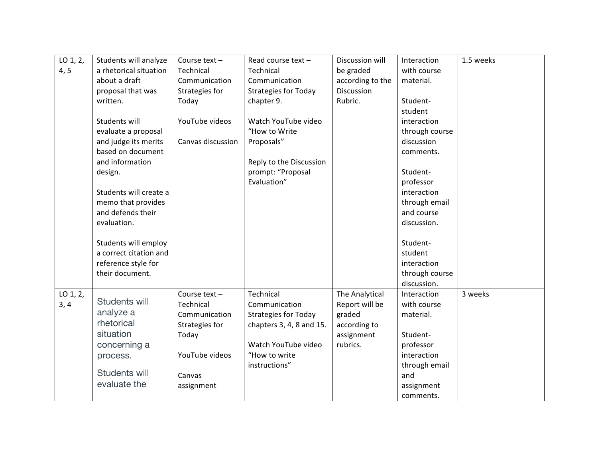| $LO$ 1, 2, | Students will analyze  | Course text-      | Read course text-           | Discussion will   | Interaction    | 1.5 weeks |
|------------|------------------------|-------------------|-----------------------------|-------------------|----------------|-----------|
| 4, 5       | a rhetorical situation | Technical         | Technical                   | be graded         | with course    |           |
|            | about a draft          | Communication     | Communication               | according to the  | material.      |           |
|            | proposal that was      | Strategies for    | <b>Strategies for Today</b> | <b>Discussion</b> |                |           |
|            | written.               | Today             | chapter 9.                  | Rubric.           | Student-       |           |
|            |                        |                   |                             |                   | student        |           |
|            | Students will          | YouTube videos    | Watch YouTube video         |                   | interaction    |           |
|            | evaluate a proposal    |                   | "How to Write               |                   | through course |           |
|            | and judge its merits   | Canvas discussion | Proposals"                  |                   | discussion     |           |
|            | based on document      |                   |                             |                   | comments.      |           |
|            | and information        |                   | Reply to the Discussion     |                   |                |           |
|            | design.                |                   | prompt: "Proposal           |                   | Student-       |           |
|            |                        |                   | Evaluation"                 |                   | professor      |           |
|            | Students will create a |                   |                             |                   | interaction    |           |
|            | memo that provides     |                   |                             |                   | through email  |           |
|            | and defends their      |                   |                             |                   | and course     |           |
|            | evaluation.            |                   |                             |                   | discussion.    |           |
|            |                        |                   |                             |                   |                |           |
|            | Students will employ   |                   |                             |                   | Student-       |           |
|            | a correct citation and |                   |                             |                   | student        |           |
|            | reference style for    |                   |                             |                   | interaction    |           |
|            | their document.        |                   |                             |                   | through course |           |
|            |                        |                   |                             |                   | discussion.    |           |
| LO 1, 2,   |                        | Course text $-$   | Technical                   | The Analytical    | Interaction    | 3 weeks   |
| 3, 4       | Students will          | Technical         | Communication               | Report will be    | with course    |           |
|            | analyze a              | Communication     | <b>Strategies for Today</b> | graded            | material.      |           |
|            | rhetorical             | Strategies for    | chapters 3, 4, 8 and 15.    | according to      |                |           |
|            | situation              | Today             |                             | assignment        | Student-       |           |
|            | concerning a           |                   | Watch YouTube video         | rubrics.          | professor      |           |
|            | process.               | YouTube videos    | "How to write               |                   | interaction    |           |
|            |                        |                   | instructions"               |                   | through email  |           |
|            | Students will          | Canvas            |                             |                   | and            |           |
|            | evaluate the           | assignment        |                             |                   | assignment     |           |
|            |                        |                   |                             |                   | comments.      |           |